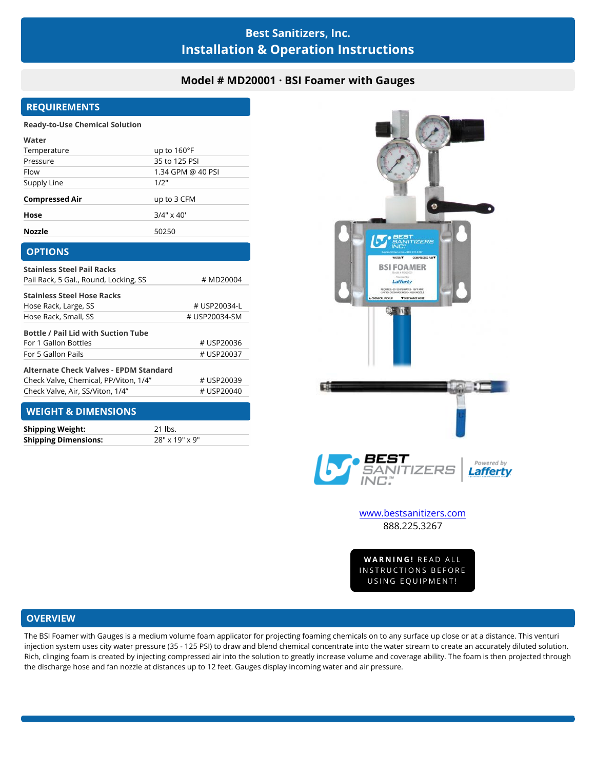# **Best Sanitizers, Inc. Installation & Operation Instructions**

# **Model # MD20001 · BSI Foamer with Gauges**

# **REQUIREMENTS**

#### **Ready-to-Use Chemical Solution**

| Water                 |                      |
|-----------------------|----------------------|
| Temperature           | up to $160^{\circ}F$ |
| Pressure              | 35 to 125 PSI        |
| Flow                  | 1.34 GPM @ 40 PSI    |
| Supply Line           | 1/2"                 |
| <b>Compressed Air</b> | up to 3 CFM          |
| Hose                  | $3/4" \times 40'$    |
| <b>Nozzle</b>         | 50250                |

| <b>OPTIONS</b>                                |               |
|-----------------------------------------------|---------------|
| <b>Stainless Steel Pail Racks</b>             |               |
| Pail Rack, 5 Gal., Round, Locking, SS         | # MD20004     |
| <b>Stainless Steel Hose Racks</b>             |               |
| Hose Rack, Large, SS                          | # USP20034-L  |
| Hose Rack, Small, SS                          | # USP20034-SM |
| <b>Bottle / Pail Lid with Suction Tube</b>    |               |
| For 1 Gallon Bottles                          | # USP20036    |
| For 5 Gallon Pails                            | # USP20037    |
| <b>Alternate Check Valves - EPDM Standard</b> |               |
| Check Valve, Chemical, PP/Viton, 1/4"         | # USP20039    |
| Check Valve, Air, SS/Viton, 1/4"              | # USP20040    |
| ______<br>.                                   |               |

### **WEIGHT & DIMENSIONS**

| <b>Shipping Weight:</b>     | 21 lbs.        |
|-----------------------------|----------------|
| <b>Shipping Dimensions:</b> | 28" x 19" x 9" |



**VARNING!** READ ALL<br>STRUCTIONS BEFORE<br>USING EQUIPMENT!

# **OVERVIEW**

The BSI Foamer with Gauges is a medium volume foam applicator for projecting foaming chemicals on to any surface up close or at a distance. This venturi injection system uses city water pressure (35 - 125 PSI) to draw and blend chemical concentrate into the water stream to create an accurately diluted solution. Rich, clinging foam is created by injecting compressed air into the solution to greatly increase volume and coverage ability. The foam is then projected through the discharge hose and fan nozzle at distances up to 12 feet. Gauges display incoming water and air pressure.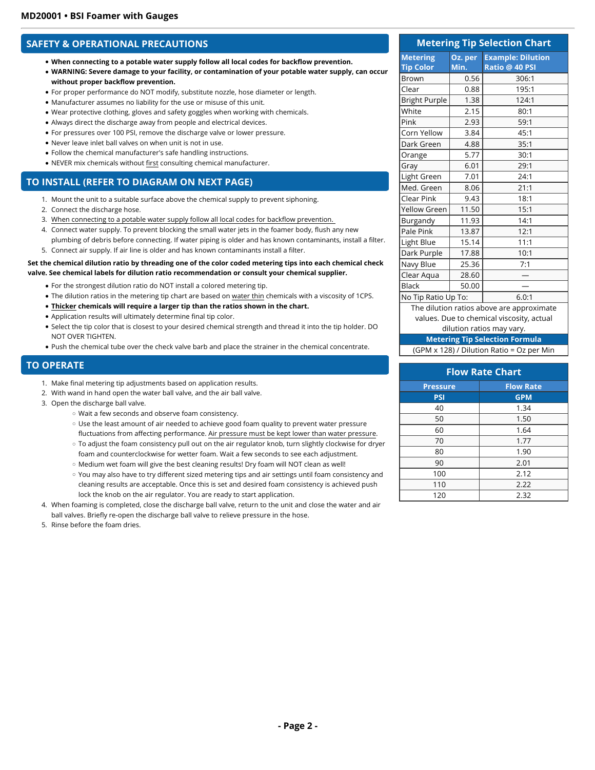### **SAFETY & OPERATIONAL PRECAUTIONS**

- **When connecting to a potable water supply follow all local codes for backflow prevention.**
- **WARNING: Severe damage to your facility, or contamination of your potable water supply, can occur without proper backflow prevention.**
- For proper performance do NOT modify, substitute nozzle, hose diameter or length.
- Manufacturer assumes no liability for the use or misuse of this unit.
- Wear protective clothing, gloves and safety goggles when working with chemicals.
- Always direct the discharge away from people and electrical devices.
- For pressures over 100 PSI, remove the discharge valve or lower pressure.
- Never leave inlet ball valves on when unit is not in use.
- Follow the chemical manufacturer's safe handling instructions.
- NEVER mix chemicals without first consulting chemical manufacturer.

### **TO INSTALL (REFER TO DIAGRAM ON NEXT PAGE)**

- 1. Mount the unit to a suitable surface above the chemical supply to prevent siphoning.
- 2. Connect the discharge hose.
- 3. When connecting to a potable water supply follow all local codes for backflow prevention.
- 4. Connect water supply. To prevent blocking the small water jets in the foamer body, flush any new
- plumbing of debris before connecting. If water piping is older and has known contaminants, install a filter.
- 5. Connect air supply. If air line is older and has known contaminants install a filter.

#### **Set the chemical dilution ratio by threading one of the color coded metering tips into each chemical check valve. See chemical labels for dilution ratio recommendation or consult your chemical supplier.**

- For the strongest dilution ratio do NOT install a colored metering tip.
- The dilution ratios in the metering tip chart are based on water thin chemicals with a viscosity of 1CPS.
- **Thicker chemicals will require a larger tip than the ratios shown in the chart.**
- Application results will ultimately determine final tip color.
- Select the tip color that is closest to your desired chemical strength and thread it into the tip holder. DO NOT OVER TIGHTEN.
- Push the chemical tube over the check valve barb and place the strainer in the chemical concentrate.

### **TO OPERATE**

- 1. Make final metering tip adjustments based on application results.
- 2. With wand in hand open the water ball valve, and the air ball valve.
- 3. Open the discharge ball valve.
	- Wait a few seconds and observe foam consistency.
	- Use the least amount of air needed to achieve good foam quality to prevent water pressure fluctuations from affecting performance. Air pressure must be kept lower than water pressure.
	- To adjust the foam consistency pull out on the air regulator knob, turn slightly clockwise for dryer foam and counterclockwise for wetter foam. Wait a few seconds to see each adjustment.
	- o Medium wet foam will give the best cleaning results! Dry foam will NOT clean as well!
	- You may also have to try different sized metering tips and air settings until foam consistency and cleaning results are acceptable. Once this is set and desired foam consistency is achieved push lock the knob on the air regulator. You are ready to start application.
- 4. When foaming is completed, close the discharge ball valve, return to the unit and close the water and air ball valves. Briefly re-open the discharge ball valve to relieve pressure in the hose.
- 5. Rinse before the foam dries.

| <b>Metering Tip Selection Chart</b>        |                 |                                            |
|--------------------------------------------|-----------------|--------------------------------------------|
| <b>Metering</b><br><b>Tip Color</b>        | Oz. per<br>Min. | <b>Example: Dilution</b><br>Ratio @ 40 PSI |
| <b>Brown</b>                               | 0.56            | 306:1                                      |
| Clear                                      | 0.88            | 195:1                                      |
| <b>Bright Purple</b>                       | 1.38            | 124:1                                      |
| White                                      | 2.15            | 80:1                                       |
| Pink                                       | 2.93            | 59:1                                       |
| Corn Yellow                                | 3.84            | 45:1                                       |
| Dark Green                                 | 4.88            | 35:1                                       |
| Orange                                     | 5.77            | 30:1                                       |
| Gray                                       | 6.01            | 29:1                                       |
| Light Green                                | 7.01            | 24:1                                       |
| Med. Green                                 | 8.06            | 21:1                                       |
| Clear Pink                                 | 9.43            | 18:1                                       |
| Yellow Green                               | 11.50           | 15:1                                       |
| Burgandy                                   | 11.93           | 14:1                                       |
| Pale Pink                                  | 13.87           | 12:1                                       |
| Light Blue                                 | 15.14           | 11:1                                       |
| Dark Purple                                | 17.88           | 10:1                                       |
| Navy Blue                                  | 25.36           | 7:1                                        |
| Clear Aqua                                 | 28.60           |                                            |
| <b>Black</b>                               | 50.00           |                                            |
| 6.0:1<br>No Tip Ratio Up To:               |                 |                                            |
| المالد المائد والمعاملة والمنادلة المساحلة |                 |                                            |

The dilution ratios above are approximate values. Due to chemical viscosity, actual

### dilution ratios may vary.

**Metering Tip Selection Formula** (GPM x 128) / Dilution Ratio = Oz per Min

| <b>Flow Rate Chart</b>              |            |  |
|-------------------------------------|------------|--|
| <b>Flow Rate</b><br><b>Pressure</b> |            |  |
| <b>PSI</b>                          | <b>GPM</b> |  |
| 40                                  | 1.34       |  |
| 50                                  | 1.50       |  |
| 60                                  | 1.64       |  |
| 70                                  | 1.77       |  |
| 80                                  | 1.90       |  |
| 90                                  | 2.01       |  |
| 100                                 | 2.12       |  |
| 110                                 | 2.22       |  |
| 120                                 | 2.32       |  |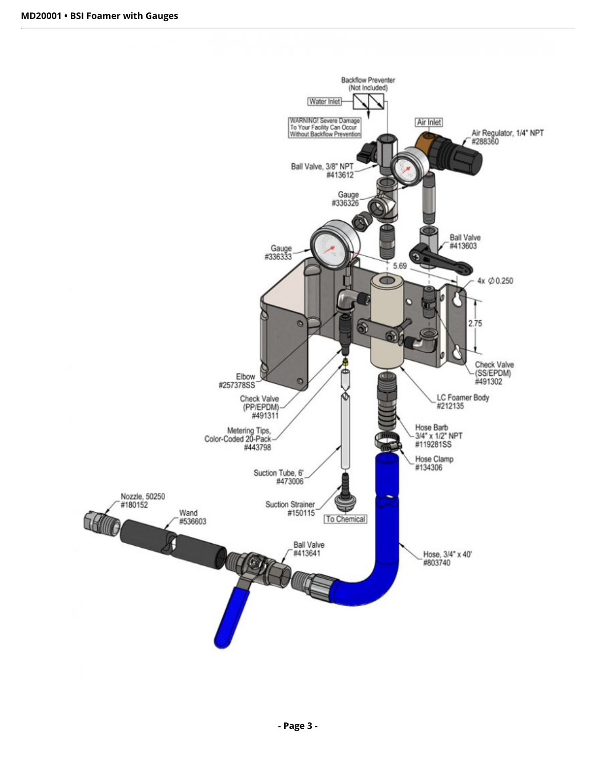